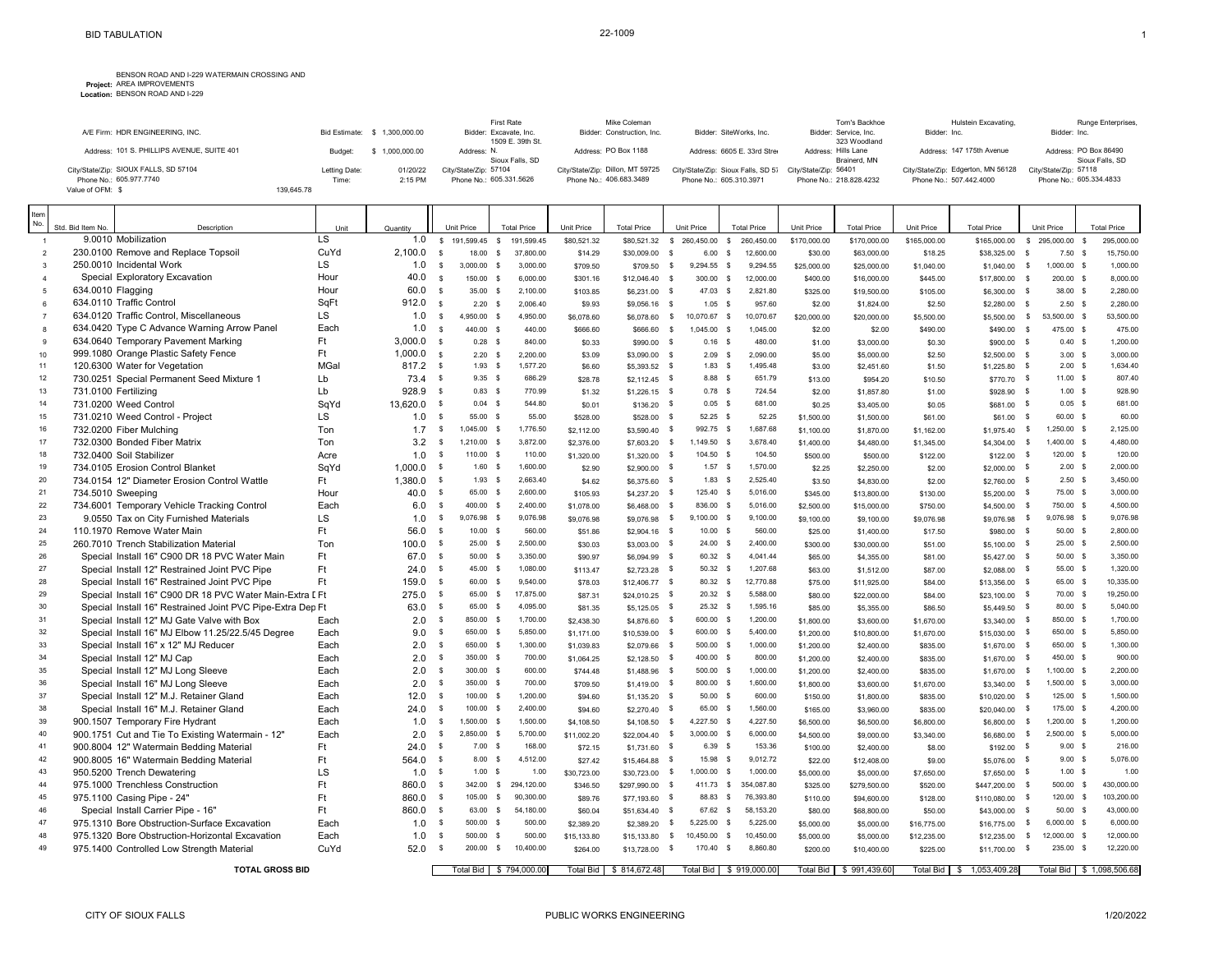## BENSON ROAD AND I-229 WATERMAIN CROSSING AND<br>**Project:** AREA IMPROVEMENTS<br>**Location:** BENSON ROAD AND I-229

| A/F Firm: HDR ENGINEERING, INC.            |               | Bid Estimate: \$ 1.300,000,00 | First Rate<br>Bidder: Excavate, Inc.<br>1509 E. 39th St. | Mike Coleman<br>Bidder: Construction, Inc. | Bidder: SiteWorks, Inc.                                  | Tom's Backhoe<br>Bidder: Service, Inc.<br>323 Woodland | Hulstein Excavating.<br>Bidder: Inc. | Runge Enterprises.<br>Bidder: Inc.       |
|--------------------------------------------|---------------|-------------------------------|----------------------------------------------------------|--------------------------------------------|----------------------------------------------------------|--------------------------------------------------------|--------------------------------------|------------------------------------------|
| Address: 101 S. PHILLIPS AVENUE, SUITE 401 | Budget:       | 1,000,000.00                  | Address: N.<br>Sioux Falls, SD                           | Address: PO Box 1188                       | Address: 6605 E. 33rd Stree                              | Address: Hills Lane<br>Brainerd, MN                    | Address: 147 175th Avenue            | Address: PO Box 86490<br>Sioux Falls, SD |
| City/State/Zip: SIOUX FALLS, SD 57104      | Letting Date: | 01/20/22                      | City/State/Zip: 57104                                    | City/State/Zip: Dillon, MT 59725           | City/State/Zip: Sioux Falls, SD 57 City/State/Zip: 56401 |                                                        | City/State/Zip: Edgerton, MN 56128   | City/State/Zip: 57118                    |
| Phone No.: 605.977.7740                    | Time:         | 2:15 PM                       | Phone No.: 605.331.5626                                  | Phone No.: 406.683.3489                    | Phone No.: 605.310.3971                                  | Phone No.: 218.828.4232                                | Phone No.: 507.442.4000              | Phone No.: 605.334.4833                  |
| Value of OFM: \$                           | 139.645.78    |                               |                                                          |                                            |                                                          |                                                        |                                      |                                          |

| Item<br>No.         |                   |                                                                 |            |                |                              |                          |                         |                  |                                |              |                        |                            |                  |                          |                  |                             |              |                           |          |                      |
|---------------------|-------------------|-----------------------------------------------------------------|------------|----------------|------------------------------|--------------------------|-------------------------|------------------|--------------------------------|--------------|------------------------|----------------------------|------------------|--------------------------|------------------|-----------------------------|--------------|---------------------------|----------|----------------------|
|                     | Std. Bid Item No. | Description                                                     | Unit<br>LS | Quantity       |                              | Unit Price               | <b>Total Price</b>      | Unit Price       | <b>Total Price</b>             |              | Unit Price             | <b>Total Price</b>         | Unit Price       | <b>Total Price</b>       | Unit Price       | <b>Total Price</b>          |              | Unit Price                |          | <b>Total Price</b>   |
| $\overline{1}$      |                   | 9.0010 Mobilization                                             | CuYd       | 1.0<br>2.100.0 | $\mathsf{s}$                 | 191.599.45 \$            | 191.599.45              | \$80,521.32      | \$80.521.32 \$ 260.450.00      |              |                        | $\mathbb{S}$<br>260.450.00 | \$170,000.00     | \$170,000.00             | \$165,000.00     | \$165,000.00                | $^{\circ}$   | 295.000.00                | <b>S</b> | 295,000.00           |
| $\mathfrak{p}$      |                   | 230.0100 Remove and Replace Topsoil<br>250.0010 Incidental Work | LS.        | 1.0            | $\mathbf{s}$                 | 18.00<br>$\mathbf{s}$    | 37,800.00               | \$14.29          | \$30,009.00                    | $\mathbf{s}$ | 6.00<br>S.             | 12,600.00                  | \$30.00          | \$63,000.00              | \$18.25          | \$38,325.00                 | $\mathbf s$  | $7.50$ \$                 |          | 15,750.00            |
| $\mathbf{3}$        |                   | Special Exploratory Excavation                                  | Hour       | 40.0           | $\mathbf{s}$<br>$\mathbf{s}$ | $3.000.00$ S             | 3.000.00                | \$709.50         | \$709.50                       | $^{\circ}$   | 9.294.55 S             | 9,294.55                   | \$25,000.00      | \$25,000.00              | \$1,040.00       | \$1,040.00 \$               |              | 1.000.00 \$               |          | 1.000.00             |
| $\Delta$            |                   | 634.0010 Flagging                                               | Hour       | 60.0           |                              | 150.00 \$                | 6.000.00                | \$301.16         | \$12,046.40                    | <b>S</b>     | 300.00<br>$\mathbf{s}$ | 12.000.00                  | \$400.00         | \$16,000.00              | \$445.00         | \$17,800.00 \$              |              | 200.00 \$                 |          | 8.000.00             |
| $\overline{5}$      |                   | 634.0110 Traffic Control                                        | SqFt       |                | $\mathbf{s}$                 | 35.00 S                  | 2,100.00                | \$103.85         | \$6,231.00                     | $\mathbf{s}$ | 47.03 \$               | 2,821.80                   | \$325.00         | \$19,500.00              | \$105.00         | \$6,300.00 \$               |              | 38.00 \$                  |          | 2,280.00             |
| 6<br>$\overline{7}$ |                   | 634.0120 Traffic Control. Miscellaneous                         | LS.        | 912.0<br>1.0   | $\mathbf{s}$                 | 2.20<br><b>S</b>         | 2.006.40                | \$9.93           | \$9,056.16 \$                  |              | 1.05<br><b>S</b>       | 957.60                     | \$2.00           | \$1,824.00               | \$2.50           | \$2,280.00 \$               |              | $2.50$ \$                 |          | 2,280.00             |
| 8                   |                   | 634.0420 Type C Advance Warning Arrow Panel                     | Each       | 1.0            | $\mathbf{s}$                 | 4.950.00 \$<br>440.00 \$ | 4,950.00                | \$6,078.60       | \$6,078.60                     | $\mathbf{s}$ | 10,070.67 \$           | 10.070.67                  | \$20,000.00      | \$20,000.00              | \$5,500.00       | \$5,500.00 \$               |              | 53,500.00 \$              |          | 53,500.00            |
| $\mathbf{9}$        |                   | 634.0640 Temporary Pavement Marking                             | Ft.        | $3.000.0$ s    | <b>S</b>                     |                          | 440.00                  | \$666.60         | \$666.60                       | \$           | 1,045.00 \$            | 1.045.00                   | \$2.00           | \$2.00                   | \$490.00         | \$490.00                    | s            | 475.00 \$                 |          | 475.00               |
|                     |                   | 999.1080 Orange Plastic Safety Fence                            | Ft.        | $1.000.0$ s    |                              | $0.28$ \$<br>2.20 S      | 840.00<br>2.200.00      | \$0.33           | \$990.00 \$                    |              | $0.16$ \$              | 480.00<br>2.090.00         | \$1.00           | \$3,000.00               | \$0.30           | \$900.00 \$                 |              | 0.40 S<br>3.00 S          |          | 1,200.00             |
| 10<br>11            |                   | 120.6300 Water for Vegetation                                   | MGal       | $817.2$ \$     |                              | 1.93 S                   | 1.577.20                | \$3.09<br>\$6.60 | \$3,090.00 \$<br>\$5,393.52 \$ |              | 2.09S<br>$1.83$ \$     | 1.495.48                   | \$5.00<br>\$3.00 | \$5,000.00<br>\$2,451.60 | \$2.50<br>\$1.50 | \$2,500.00 \$<br>\$1,225.80 | $\mathbb{S}$ | 2.00 S                    |          | 3,000.00<br>1.634.40 |
| 12                  |                   | 730.0251 Special Permanent Seed Mixture 1                       | Lb         | $73.4$ \$      |                              | $9.35$ \$                | 686.29                  | \$28.78          | $$2,112.45$ \$                 |              | 8.88 \$                | 651.79                     | \$13.00          | \$954.20                 | \$10.50          | \$770.70 \$                 |              | 11.00 \$                  |          | 807.40               |
| 13                  |                   | 731.0100 Fertilizing                                            | Lb         | $928.9$ \$     |                              | $0.83$ \$                | 770.99                  | \$1.32           | $$1,226.15$ \$                 |              | $0.78$ \$              | 724.54                     | \$2.00           | \$1,857.80               | \$1.00           | \$928.90 \$                 |              | $1.00$ \$                 |          | 928.90               |
| 14                  |                   | 731.0200 Weed Control                                           | SqYd       | 13,620.0 \$    |                              | $0.04$ \$                | 544.80                  | \$0.01           | $$136.20$ \$                   |              | $0.05$ \$              | 681.00                     | \$0.25           | \$3,405.00               | \$0.05           | \$681.00 \$                 |              | $0.05$ \$                 |          | 681.00               |
| 15                  |                   | 731.0210 Weed Control - Project                                 | LS         | 1.0            | $\mathsf{s}$                 | 55.00 \$                 | 55.00                   | \$528.00         | \$528.00                       | -S           | 52.25 \$               | 52.25                      | \$1,500.00       | \$1,500.00               | \$61.00          | \$61.00                     | - S          | 60.00 \$                  |          | 60.00                |
| 16                  |                   | 732.0200 Fiber Mulching                                         | Ton        | 1.7            | $\mathbb{S}$                 | 1,045.00 \$              | 1,776.50                | \$2,112.00       | \$3,590.40                     | s            | 992.75 \$              | 1,687.68                   | \$1,100.00       | \$1,870.00               | \$1,162.00       | \$1,975.40                  | $\mathbb{S}$ | 1,250.00 \$               |          | 2,125.00             |
| 17                  |                   | 732.0300 Bonded Fiber Matrix                                    | Ton        | $3.2$ \$       |                              | $1,210.00$ \$            | 3,872.00                | \$2,376.00       | \$7,603.20                     | $\mathbb{S}$ | 1,149.50 \$            | 3,678.40                   | \$1,400.00       | \$4,480.00               | \$1,345.00       | \$4,304.00 \$               |              | 1,400.00 \$               |          | 4,480.00             |
| 18                  |                   | 732.0400 Soil Stabilizer                                        | Acre       | 1.0            | $\mathsf{s}$                 | 110.00 \$                | 110.00                  | \$1,320.00       | \$1,320.00                     | ్            | 104.50 \$              | 104.50                     | \$500.00         | \$500.00                 | \$122.00         | $$122.00$ \$                |              | 120.00 \$                 |          | 120.00               |
| 19                  |                   | 734.0105 Erosion Control Blanket                                | SqYd       | $1.000.0$ \$   |                              | 1.60 S                   | 1,600.00                | \$2.90           | $$2,900.00$ \$                 |              | 1.57 S                 | 1,570.00                   | \$2.25           | \$2,250.00               | \$2.00           | \$2,000.00 \$               |              | $2.00$ \$                 |          | 2,000.00             |
| 20                  |                   | 734.0154 12" Diameter Erosion Control Wattle                    | Ft         | $1,380.0$ \$   |                              | 1.93S                    | 2,663.40                | \$4.62           | \$6,375.60 \$                  |              | 1.83S                  | 2,525.40                   | \$3.50           | \$4,830.00               | \$2.00           | \$2,760.00 \$               |              | $2.50$ \$                 |          | 3,450.00             |
| 21                  |                   | 734.5010 Sweeping                                               | Hour       | $40.0$ \$      |                              | 65.00 S                  | 2.600.00                | \$105.93         | \$4,237.20 \$                  |              | 125.40 \$              | 5,016.00                   | \$345.00         | \$13,800.00              | \$130.00         | \$5,200.00 \$               |              | 75.00 \$                  |          | 3,000.00             |
| 22                  |                   | 734.6001 Temporary Vehicle Tracking Control                     | Each       | 6.0            | $\mathsf{s}$                 | 400.00 \$                | 2,400.00                | \$1,078.00       | \$6,468.00                     | ్            | 836.00 \$              | 5,016.00                   | \$2,500.00       | \$15,000.00              | \$750.00         | \$4,500.00                  | s            | 750.00 \$                 |          | 4,500.00             |
| 23                  |                   | 9.0550 Tax on City Furnished Materials                          | LS         | 1.0            | \$                           | 9,076.98 \$              | 9,076.98                | \$9,076.98       | \$9,076.98                     | $\mathbb{S}$ | 9,100.00<br>s          | 9,100.00                   | \$9,100.00       | \$9,100.00               | \$9,076.98       | \$9,076.98 \$               |              | 9,076.98 \$               |          | 9,076.98             |
| 24                  |                   | 110.1970 Remove Water Main                                      | Ft         | $56.0$ \$      |                              | $10.00$ \$               | 560.00                  | \$51.86          | $$2,904.16$ \$                 |              | $10.00$ \$             | 560.00                     | \$25.00          | \$1,400.00               | \$17.50          | \$980.00 \$                 |              | $50.00$ \$                |          | 2,800.00             |
| 25                  |                   | 260.7010 Trench Stabilization Material                          | Ton        | 100.0          | $\mathsf{s}$                 | 25.00 S                  | 2,500.00                | \$30.03          | $$3.003.00$ \$                 |              | 24.00 S                | 2,400.00                   | \$300.00         | \$30,000.00              | \$51.00          | \$5,100.00 \$               |              | $25.00$ \$                |          | 2,500.00             |
| 26                  |                   | Special Install 16" C900 DR 18 PVC Water Main                   | Ft.        | 67.0           | $\mathbf{s}$                 | 50.00 S                  | 3.350.00                | \$90.97          | \$6,094.99 \$                  |              | 60.32 S                | 4.041.44                   | \$65.00          | \$4,355.00               | \$81.00          | \$5,427,00 \$               |              | 50.00 S                   |          | 3.350.00             |
| 27                  |                   | Special Install 12" Restrained Joint PVC Pipe                   | Ft.        | 24.0           | $\mathbf{s}$                 | 45.00 S                  | 1.080.00                | \$113.47         | \$2,723,28                     | - \$         | 50.32 \$               | 1,207.68                   | \$63.00          | \$1,512.00               | \$87.00          | $$2,088.00$ \$              |              | 55.00 \$                  |          | 1.320.00             |
| 28                  |                   | Special Install 16" Restrained Joint PVC Pipe                   | Ft.        | 159.0          | $\mathbf{s}$                 | 60.00 S                  | 9.540.00                | \$78.03          | \$12,406.77 \$                 |              | 80.32 \$               | 12.770.88                  | \$75.00          | \$11,925.00              | \$84.00          | \$13,356.00 \$              |              | 65.00 \$                  |          | 10.335.00            |
| 29                  |                   | Special Install 16" C900 DR 18 PVC Water Main-Extra [ Ft        |            | $275.0$ \$     |                              | 65.00 \$                 | 17,875.00               | \$87.31          | \$24,010.25 \$                 |              | $20.32$ \$             | 5,588.00                   | \$80.00          | \$22,000.00              | \$84.00          | \$23,100.00 \$              |              | 70.00 \$                  |          | 19,250.00            |
| 30                  |                   | Special Install 16" Restrained Joint PVC Pipe-Extra Dep Ft      |            | 63.0           | $\mathbf{s}$                 | 65.00<br><b>S</b>        | 4.095.00                | \$81.35          | \$5,125.05                     | $\mathbb{S}$ | 25.32 S                | 1,595.16                   | \$85.00          | \$5,355.00               | \$86.50          | \$5,449.50 \$               |              | 80.00 \$                  |          | 5,040.00             |
| 31                  |                   | Special Install 12" MJ Gate Valve with Box                      | Each       | 2.0            | <b>S</b>                     | 850.00 \$                | 1,700.00                | \$2,438.30       | \$4,876.60                     | s            | 600.00 \$              | 1,200.00                   | \$1,800.00       | \$3,600.00               | \$1,670.00       | $$3,340.00$ \$              |              | 850.00 \$                 |          | 1,700.00             |
| 32                  |                   | Special Install 16" MJ Elbow 11.25/22.5/45 Degree               | Each       | 9.0            | <b>S</b>                     | 650.00 \$                | 5.850.00                | \$1,171.00       | \$10,539.00                    | - S          | 600.00 \$              | 5,400.00                   | \$1,200.00       | \$10,800.00              | \$1,670.00       | \$15,030.00 \$              |              | 650.00 \$                 |          | 5,850.00             |
| 33                  |                   | Special Install 16" x 12" MJ Reducer                            | Each       | 2.0            | $\mathsf{s}$                 | 650.00 \$                | 1,300.00                | \$1,039.83       | \$2,079.66 \$                  |              | 500.00 \$              | 1,000.00                   | \$1,200.00       | \$2,400.00               | \$835.00         | \$1,670.00 \$               |              | 650.00 \$                 |          | 1,300.00             |
| 34                  |                   | Special Install 12" MJ Cap                                      | Each       | 2.0            | s                            | 350.00 \$                | 700.00                  | \$1,064.25       | $$2,128.50$ \$                 |              | 400.00 \$              | 800.00                     | \$1,200.00       | \$2,400.00               | \$835.00         | $$1,670.00$ \$              |              | 450.00 \$                 |          | 900.00               |
| 35                  |                   | Special Install 12" MJ Long Sleeve                              | Each       | 2.0            | - S                          | 300.00 \$                | 600.00                  | \$744.48         | \$1,488.96                     | <b>S</b>     | 500.00 \$              | 1,000.00                   | \$1,200.00       | \$2,400.00               | \$835.00         | $$1,670.00$ \$              |              | 1,100.00 \$               |          | 2,200.00             |
| 36                  |                   | Special Install 16" MJ Long Sleeve                              | Each       | 2.0            | s                            | 350.00 \$                | 700.00                  | \$709.50         | \$1,419.00                     | s            | 800.00 \$              | 1,600.00                   | \$1,800.00       | \$3,600.00               | \$1,670.00       | \$3,340.00                  | - \$         | 1,500.00 \$               |          | 3,000.00             |
| 37                  |                   | Special Install 12" M.J. Retainer Gland                         | Each       | 12.0           | s                            | 100.00 \$                | 1,200.00                | \$94.60          | \$1,135.20                     | - \$         | $50.00$ \$             | 600.00                     | \$150.00         | \$1,800.00               | \$835.00         | \$10,020.00                 | s            | 125.00 \$                 |          | 1,500.00             |
| 38                  |                   | Special Install 16" M.J. Retainer Gland                         | Each       | $24.0$ \$      |                              | 100.00 \$                | 2.400.00                | \$94.60          | $$2,270.40$ \$                 |              | 65.00 \$               | 1.560.00                   | \$165.00         | \$3,960.00               | \$835.00         | \$20,040.00 \$              |              | 175.00 \$                 |          | 4,200.00             |
| 39                  |                   | 900.1507 Temporary Fire Hydrant                                 | Each       | 1.0            | $\mathbb{S}$                 | 1,500.00 \$              | 1,500.00                | \$4,108.50       | \$4,108.50                     | \$           | 4,227.50 \$            | 4,227.50                   | \$6,500.00       | \$6,500.00               | \$6,800.00       | \$6,800.00 \$               |              | 1,200.00 \$               |          | 1,200.00             |
| 40                  |                   | 900.1751 Cut and Tie To Existing Watermain - 12"                | Each       | 2.0            | $\mathbb{S}$                 | 2,850.00 \$              | 5,700.00                | \$11,002.20      | $$22,004.40$ \$                |              | $3,000.00$ \$          | 6,000.00                   | \$4,500.00       | \$9,000.00               | \$3,340.00       | \$6,680.00 \$               |              | $2,500.00$ \$             |          | 5,000.00             |
| 41                  |                   | 900.8004 12" Watermain Bedding Material                         | Ft.        | 24.0           | $\mathsf{s}$                 | 7.00 S                   | 168.00                  | \$72.15          | $$1,731.60$ \$                 |              | 6.39 \$                | 153.36                     | \$100.00         | \$2,400.00               | \$8.00           | $$192.00$ \$                |              | 9.00 S                    |          | 216.00               |
| 42                  |                   | 900.8005 16" Watermain Bedding Material                         | Ft         | 564.0          | $\mathsf{s}$                 | 8.00<br>$\mathsf{s}$     | 4,512.00                | \$27.42          | \$15,464.88                    | \$           | 15.98<br>$\mathsf{s}$  | 9,012.72                   | \$22.00          | \$12,408.00              | \$9.00           | \$5,076.00 \$               |              | $9.00$ \$                 |          | 5,076.00             |
| 43                  |                   | 950.5200 Trench Dewatering                                      | LS         | $1.0$ \$       |                              | 1.00 S                   | 1.00                    | \$30,723.00      | \$30,723.00                    | \$           | 1,000.00 \$            | 1,000.00                   | \$5,000.00       | \$5,000.00               | \$7,650.00       | \$7,650.00 \$               |              | $1.00$ \$                 |          | 1.00                 |
| 44                  |                   | 975.1000 Trenchless Construction                                | Ft         | 860.0          | s                            | 342.00 \$                | 294,120.00              | \$346.50         | \$297,990.00                   | <b>S</b>     | 411.73 \$              | 354,087.80                 | \$325.00         | \$279,500.00             | \$520.00         | \$447,200.00 \$             |              | 500.00 \$                 |          | 430,000.00           |
| 45                  |                   | 975.1100 Casing Pipe - 24"                                      | Ft         | 860.0 \$       |                              | 105.00 \$                | 90,300.00               | \$89.76          | \$77,193.60                    | - \$         | 88.83 \$               | 76,393.80                  | \$110.00         | \$94,600.00              | \$128.00         | \$110,080.00 \$             |              | 120.00 \$                 |          | 103,200.00           |
| 46                  |                   | Special Install Carrier Pipe - 16"                              | Ft.        | 860.0          | $\mathsf{s}$                 | 63.00 \$                 | 54,180.00               | \$60.04          | \$51,634.40                    | - \$         | 67.62 \$               | 58,153.20                  | \$80.00          | \$68,800.00              | \$50.00          | \$43,000.00                 | $\sqrt{5}$   | 50.00 \$                  |          | 43,000.00            |
| 47                  |                   | 975.1310 Bore Obstruction-Surface Excavation                    | Each       | 1.0            | $\mathsf{s}$                 | 500.00 \$                | 500.00                  | \$2,389.20       | $$2,389.20$ \$                 |              | 5,225.00 \$            | 5,225.00                   | \$5,000.00       | \$5,000.00               | \$16,775.00      | \$16,775.00                 | \$           | $6,000.00$ \$             |          | 6,000.00             |
| 48                  |                   | 975.1320 Bore Obstruction-Horizontal Excavation                 | Each       | 1.0            | -S                           | 500.00 \$                | 500.00                  | \$15,133,80      | \$15,133.80                    | \$           | 10,450.00 \$           | 10,450.00                  | \$5,000.00       | \$5,000.00               | \$12,235.00      | \$12,235.00                 | - \$         | 12,000.00 \$              |          | 12,000.00            |
| 49                  |                   | 975.1400 Controlled Low Strength Material                       | CuYd       | 52.0           | <b>S</b>                     | 200.00 \$                | 10,400.00               | \$264.00         | \$13,728.00                    | <b>S</b>     | 170.40 \$              | 8.860.80                   | \$200.00         | \$10,400.00              | \$225.00         | \$11,700.00                 | s            | 235.00 \$                 |          | 12.220.00            |
|                     |                   |                                                                 |            |                |                              |                          |                         |                  |                                |              |                        |                            |                  |                          |                  |                             |              |                           |          |                      |
|                     |                   | <b>TOTAL GROSS BID</b>                                          |            |                |                              |                          | Total Bid \$ 794,000.00 |                  | Total Bid \$ 814,672.48        |              |                        | Total Bid   \$919,000.00   |                  | Total Bid \$991,439.60   | Total Bid \$     | 1,053,409.28                |              | Total Bid \$ 1,098,506.68 |          |                      |